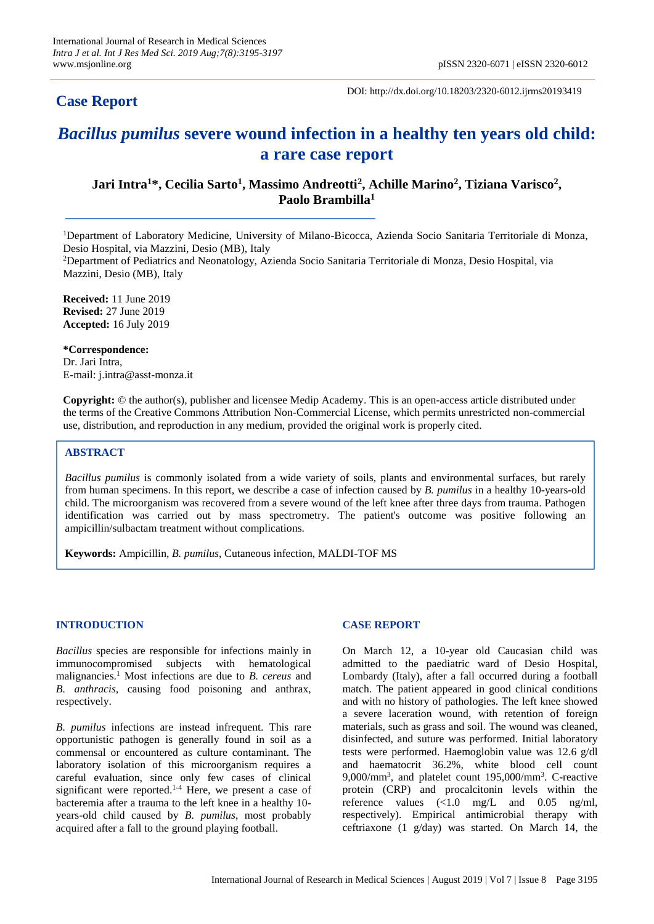# **Case Report**

DOI: http://dx.doi.org/10.18203/2320-6012.ijrms20193419

# *Bacillus pumilus* **severe wound infection in a healthy ten years old child: a rare case report**

**Jari Intra<sup>1</sup>\*, Cecilia Sarto<sup>1</sup> , Massimo Andreotti<sup>2</sup> , Achille Marino<sup>2</sup> , Tiziana Varisco<sup>2</sup> , Paolo Brambilla<sup>1</sup>**

<sup>1</sup>Department of Laboratory Medicine, University of Milano-Bicocca, Azienda Socio Sanitaria Territoriale di Monza, Desio Hospital, via Mazzini, Desio (MB), Italy

<sup>2</sup>Department of Pediatrics and Neonatology, Azienda Socio Sanitaria Territoriale di Monza, Desio Hospital, via Mazzini, Desio (MB), Italy

**Received:** 11 June 2019 **Revised:** 27 June 2019 **Accepted:** 16 July 2019

**\*Correspondence:** Dr. Jari Intra, E-mail: j.intra@asst-monza.it

**Copyright:** © the author(s), publisher and licensee Medip Academy. This is an open-access article distributed under the terms of the Creative Commons Attribution Non-Commercial License, which permits unrestricted non-commercial use, distribution, and reproduction in any medium, provided the original work is properly cited.

# **ABSTRACT**

*Bacillus pumilus* is commonly isolated from a wide variety of soils, plants and environmental surfaces, but rarely from human specimens. In this report, we describe a case of infection caused by *B. pumilus* in a healthy 10-years-old child. The microorganism was recovered from a severe wound of the left knee after three days from trauma. Pathogen identification was carried out by mass spectrometry. The patient's outcome was positive following an ampicillin/sulbactam treatment without complications.

**Keywords:** Ampicillin*, B. pumilus*, Cutaneous infection, MALDI-TOF MS

# **INTRODUCTION**

*Bacillus* species are responsible for infections mainly in immunocompromised subjects with hematological malignancies.<sup>1</sup> Most infections are due to *B. cereus* and *B. anthracis,* causing food poisoning and anthrax, respectively.

*B. pumilus* infections are instead infrequent. This rare opportunistic pathogen is generally found in soil as a commensal or encountered as culture contaminant. The laboratory isolation of this microorganism requires a careful evaluation, since only few cases of clinical significant were reported.<sup>1-4</sup> Here, we present a case of bacteremia after a trauma to the left knee in a healthy 10 years-old child caused by *B. pumilus*, most probably acquired after a fall to the ground playing football.

# **CASE REPORT**

On March 12, a 10-year old Caucasian child was admitted to the paediatric ward of Desio Hospital, Lombardy (Italy), after a fall occurred during a football match. The patient appeared in good clinical conditions and with no history of pathologies. The left knee showed a severe laceration wound, with retention of foreign materials, such as grass and soil. The wound was cleaned, disinfected, and suture was performed. Initial laboratory tests were performed. Haemoglobin value was 12.6 g/dl and haematocrit 36.2%, white blood cell count 9,000/mm<sup>3</sup> , and platelet count 195,000/mm<sup>3</sup> . C-reactive protein (CRP) and procalcitonin levels within the reference values (<1.0 mg/L and 0.05 ng/ml, respectively). Empirical antimicrobial therapy with ceftriaxone (1 g/day) was started. On March 14, the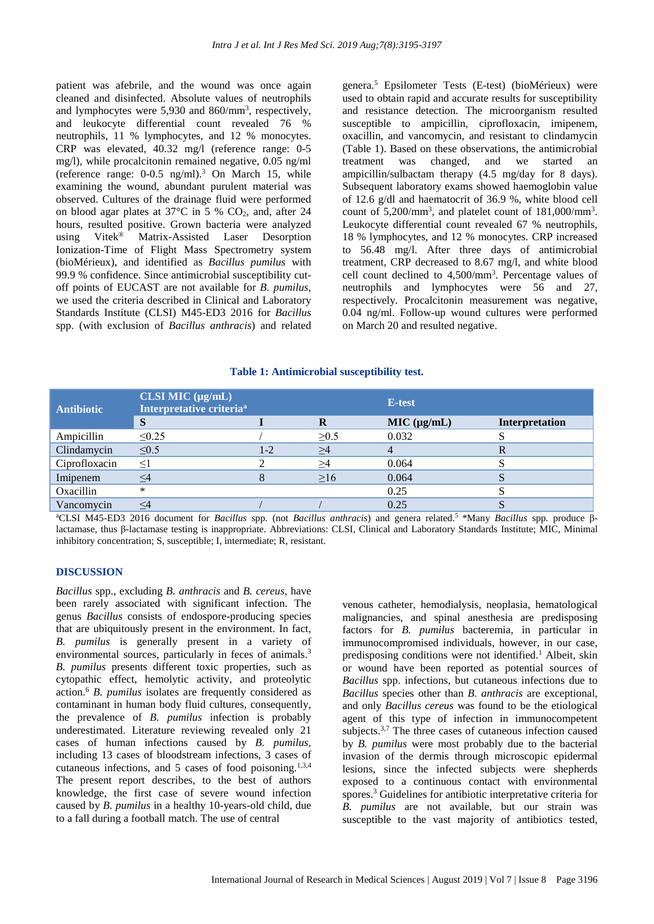patient was afebrile, and the wound was once again cleaned and disinfected. Absolute values of neutrophils and lymphocytes were 5,930 and 860/mm<sup>3</sup>, respectively, and leukocyte differential count revealed 76 % neutrophils, 11 % lymphocytes, and 12 % monocytes. CRP was elevated, 40.32 mg/l (reference range: 0-5 mg/l), while procalcitonin remained negative, 0.05 ng/ml (reference range:  $0-0.5$  ng/ml).<sup>3</sup> On March 15, while examining the wound, abundant purulent material was observed. Cultures of the drainage fluid were performed on blood agar plates at  $37^{\circ}$ C in 5 % CO<sub>2</sub>, and, after 24 hours, resulted positive. Grown bacteria were analyzed using Vitek® Matrix-Assisted Laser Desorption Ionization-Time of Flight Mass Spectrometry system (bioMérieux), and identified as *Bacillus pumilus* with 99.9 % confidence. Since antimicrobial susceptibility cutoff points of EUCAST are not available for *B. pumilus*, we used the criteria described in Clinical and Laboratory Standards Institute (CLSI) M45-ED3 2016 for *Bacillus* spp. (with exclusion of *Bacillus anthracis*) and related genera.<sup>5</sup> Epsilometer Tests (E-test) (bioMérieux) were used to obtain rapid and accurate results for susceptibility and resistance detection. The microorganism resulted susceptible to ampicillin, ciprofloxacin, imipenem, oxacillin, and vancomycin, and resistant to clindamycin (Table 1). Based on these observations, the antimicrobial treatment was changed, and we started an ampicillin/sulbactam therapy (4.5 mg/day for 8 days). Subsequent laboratory exams showed haemoglobin value of 12.6 g/dl and haematocrit of 36.9 %, white blood cell count of 5,200/mm<sup>3</sup>, and platelet count of 181,000/mm<sup>3</sup>. Leukocyte differential count revealed 67 % neutrophils, 18 % lymphocytes, and 12 % monocytes. CRP increased to 56.48 mg/l. After three days of antimicrobial treatment, CRP decreased to 8.67 mg/l, and white blood cell count declined to 4,500/mm<sup>3</sup> . Percentage values of neutrophils and lymphocytes were 56 and 27, respectively. Procalcitonin measurement was negative, 0.04 ng/ml. Follow-up wound cultures were performed on March 20 and resulted negative.

#### **Table 1: Antimicrobial susceptibility test.**

| <b>Antibiotic</b> | $CLSI$ MIC $(\mu g/mL)$<br>Interpretative criteria <sup>a</sup> |       |            | E-test      |                |
|-------------------|-----------------------------------------------------------------|-------|------------|-------------|----------------|
|                   | S                                                               |       | R          | MIC (µg/mL) | Interpretation |
| Ampicillin        | $\leq 0.25$                                                     |       | $\geq 0.5$ | 0.032       |                |
| Clindamycin       | $\leq 0.5$                                                      | $1-2$ | $\geq$ 4   |             |                |
| Ciprofloxacin     | $\leq$                                                          |       | $\geq$ 4   | 0.064       |                |
| Imipenem          | <4                                                              |       | >16        | 0.064       | Ő              |
| Oxacillin         | *                                                               |       |            | 0.25        |                |
| Vancomycin        |                                                                 |       |            | 0.25        |                |

<sup>a</sup>CLSI M45-ED3 2016 document for *Bacillus* spp. (not *Bacillus anthracis*) and genera related. <sup>5</sup> \*Many *Bacillus* spp. produce βlactamase, thus β-lactamase testing is inappropriate. Abbreviations: CLSI, Clinical and Laboratory Standards Institute; MIC, Minimal inhibitory concentration; S, susceptible; I, intermediate; R, resistant.

#### **DISCUSSION**

*Bacillus* spp., excluding *B. anthracis* and *B. cereus*, have been rarely associated with significant infection. The genus *Bacillus* consists of endospore-producing species that are ubiquitously present in the environment. In fact, *B. pumilus* is generally present in a variety of environmental sources, particularly in feces of animals.<sup>3</sup> *B. pumilus* presents different toxic properties, such as cytopathic effect, hemolytic activity, and proteolytic action.<sup>6</sup> *B. pumilus* isolates are frequently considered as contaminant in human body fluid cultures, consequently, the prevalence of *B. pumilus* infection is probably underestimated. Literature reviewing revealed only 21 cases of human infections caused by *B. pumilus,* including 13 cases of bloodstream infections, 3 cases of cutaneous infections, and 5 cases of food poisoning.<sup>1,3,4</sup> The present report describes, to the best of authors knowledge, the first case of severe wound infection caused by *B. pumilus* in a healthy 10-years-old child, due to a fall during a football match. The use of central

venous catheter, hemodialysis, neoplasia, hematological malignancies, and spinal anesthesia are predisposing factors for *B. pumilus* bacteremia, in particular in immunocompromised individuals, however, in our case, predisposing conditions were not identified.<sup>1</sup> Albeit, skin or wound have been reported as potential sources of *Bacillus* spp. infections, but cutaneous infections due to *Bacillus* species other than *B. anthracis* are exceptional, and only *Bacillus cereus* was found to be the etiological agent of this type of infection in immunocompetent subjects.<sup>3,7</sup> The three cases of cutaneous infection caused by *B. pumilus* were most probably due to the bacterial invasion of the dermis through microscopic epidermal lesions, since the infected subjects were shepherds exposed to a continuous contact with environmental spores.<sup>3</sup> Guidelines for antibiotic interpretative criteria for *B. pumilus* are not available, but our strain was susceptible to the vast majority of antibiotics tested,